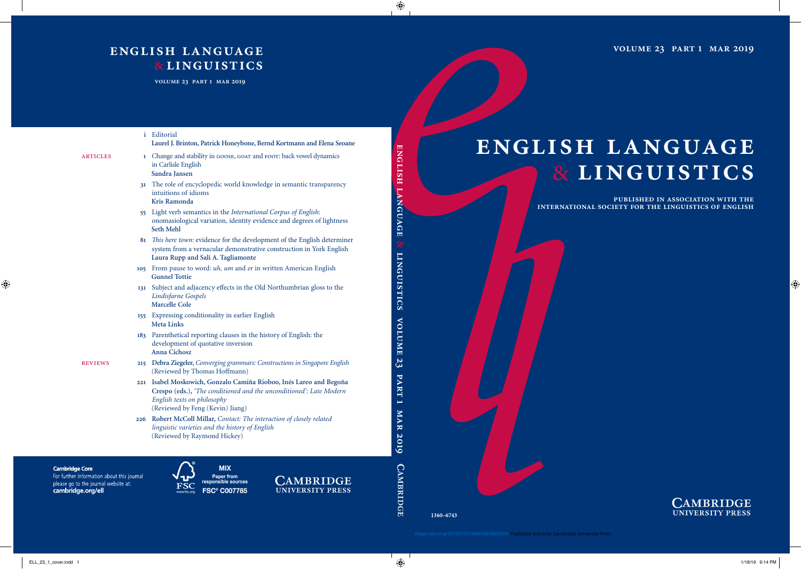**volume 23 part 1 mar 2019**

# **english language** & **linguistics**

**published in association with the international society for the linguistics of english**